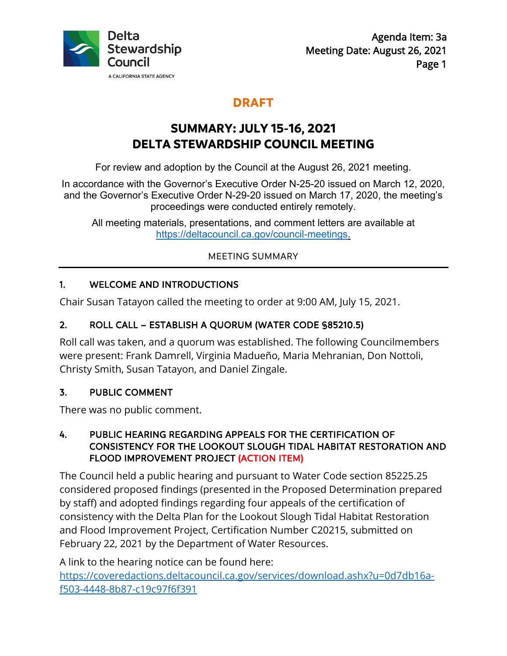

## **DRAFT**

# **SUMMARY: JULY 15-16, 2021 DELTA STEWARDSHIP COUNCIL MEETING**

For review and adoption by the Council at the August 26, 2021 meeting.

In accordance with the Governor's Executive Order N-25-20 issued on March 12, 2020, and the Governor's Executive Order N-29-20 issued on March 17, 2020, the meeting's proceedings were conducted entirely remotely.

All meeting materials, presentations, and comment letters are available at [https://deltacouncil.ca.gov/council-meetings.](https://deltacouncil.ca.gov/council-meetings)

MEETING SUMMARY

### 1. WELCOME AND INTRODUCTIONS

Chair Susan Tatayon called the meeting to order at 9:00 AM, July 15, 2021.

### 2. ROLL CALL – ESTABLISH A QUORUM (WATER CODE §85210.5)

Roll call was taken, and a quorum was established. The following Councilmembers were present: Frank Damrell, Virginia Madueño, Maria Mehranian, Don Nottoli, Christy Smith, Susan Tatayon, and Daniel Zingale.

### 3. PUBLIC COMMENT

There was no public comment.

#### 4. PUBLIC HEARING REGARDING APPEALS FOR THE CERTIFICATION OF CONSISTENCY FOR THE LOOKOUT SLOUGH TIDAL HABITAT RESTORATION AND FLOOD IMPROVEMENT PROJECT (ACTION ITEM)

The Council held a public hearing and pursuant to Water Code section 85225.25 considered proposed findings (presented in the Proposed Determination prepared by staff) and adopted findings regarding four appeals of the certification of consistency with the Delta Plan for the Lookout Slough Tidal Habitat Restoration and Flood Improvement Project, Certification Number C20215, submitted on February 22, 2021 by the Department of Water Resources.

A link to the hearing notice can be found here: [https://coveredactions.deltacouncil.ca.gov/services/download.ashx?u=0d7db16a](https://coveredactions.deltacouncil.ca.gov/services/download.ashx?u=0d7db16a-f503-4448-8b87-c19c97f6f391)[f503-4448-8b87-c19c97f6f391](https://coveredactions.deltacouncil.ca.gov/services/download.ashx?u=0d7db16a-f503-4448-8b87-c19c97f6f391)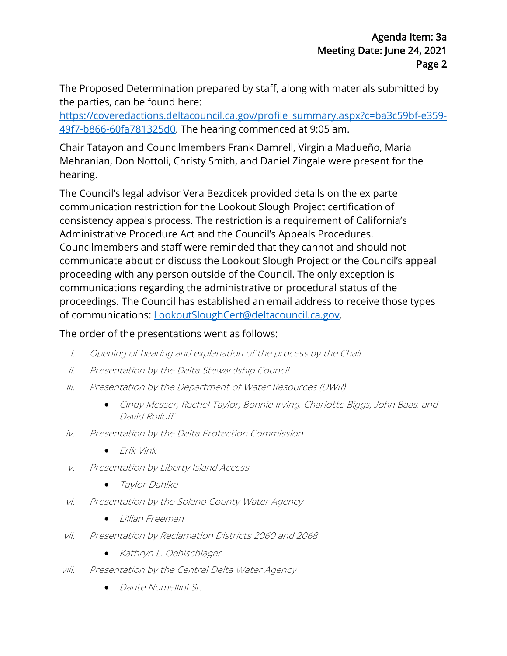The Proposed Determination prepared by staff, along with materials submitted by the parties, can be found here:

[https://coveredactions.deltacouncil.ca.gov/profile\\_summary.aspx?c=ba3c59bf-e359-](https://coveredactions.deltacouncil.ca.gov/profile_summary.aspx?c=ba3c59bf-e359-49f7-b866-60fa781325d0%20) [49f7-b866-60fa781325d0.](https://coveredactions.deltacouncil.ca.gov/profile_summary.aspx?c=ba3c59bf-e359-49f7-b866-60fa781325d0%20) The hearing commenced at 9:05 am.

Chair Tatayon and Councilmembers Frank Damrell, Virginia Madueño, Maria Mehranian, Don Nottoli, Christy Smith, and Daniel Zingale were present for the hearing.

The Council's legal advisor Vera Bezdicek provided details on the ex parte communication restriction for the Lookout Slough Project certification of consistency appeals process. The restriction is a requirement of California's Administrative Procedure Act and the Council's Appeals Procedures. Councilmembers and staff were reminded that they cannot and should not communicate about or discuss the Lookout Slough Project or the Council's appeal proceeding with any person outside of the Council. The only exception is communications regarding the administrative or procedural status of the proceedings. The Council has established an email address to receive those types of communications: [LookoutSloughCert@deltacouncil.ca.gov.](mailto:LookoutSloughCert@deltacouncil.ca.gov)

#### The order of the presentations went as follows:

- i. Opening of hearing and explanation of the process by the Chair.
- ii. Presentation by the Delta Stewardship Council
- iii. Presentation by the Department of Water Resources (DWR)
	- Cindy Messer, Rachel Taylor, Bonnie Irving, Charlotte Biggs, John Baas, and David Rolloff.
- iv. Presentation by the Delta Protection Commission
	- Erik Vink
- v. Presentation by Liberty Island Access
	- Taylor Dahlke
- vi. Presentation by the Solano County Water Agency
	- Lillian Freeman
- vii. Presentation by Reclamation Districts 2060 and 2068
	- Kathryn L. Oehlschlager
- viii. Presentation by the Central Delta Water Agency
	- Dante Nomellini Sr.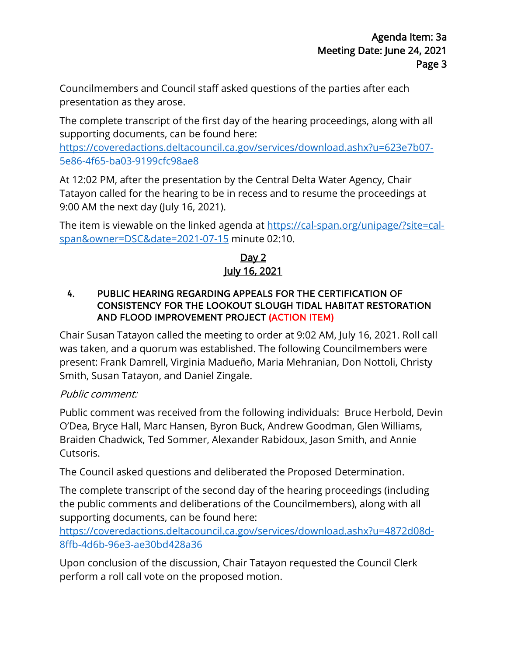Councilmembers and Council staff asked questions of the parties after each presentation as they arose.

The complete transcript of the first day of the hearing proceedings, along with all supporting documents, can be found here:

[https://coveredactions.deltacouncil.ca.gov/services/download.ashx?u=623e7b07-](https://coveredactions.deltacouncil.ca.gov/services/download.ashx?u=623e7b07-5e86-4f65-ba03-9199cfc98ae8) [5e86-4f65-ba03-9199cfc98ae8](https://coveredactions.deltacouncil.ca.gov/services/download.ashx?u=623e7b07-5e86-4f65-ba03-9199cfc98ae8)

At 12:02 PM, after the presentation by the Central Delta Water Agency, Chair Tatayon called for the hearing to be in recess and to resume the proceedings at 9:00 AM the next day (July 16, 2021).

The item is viewable on the linked agenda at [https://cal-span.org/unipage/?site=cal](https://cal-span.org/unipage/?site=cal-span&owner=DSC&date=2021-07-15)[span&owner=DSC&date=2021-07-15](https://cal-span.org/unipage/?site=cal-span&owner=DSC&date=2021-07-15) minute 02:10.

### Day 2 July 16, 2021

#### 4. PUBLIC HEARING REGARDING APPEALS FOR THE CERTIFICATION OF CONSISTENCY FOR THE LOOKOUT SLOUGH TIDAL HABITAT RESTORATION AND FLOOD IMPROVEMENT PROJECT (ACTION ITEM)

Chair Susan Tatayon called the meeting to order at 9:02 AM, July 16, 2021. Roll call was taken, and a quorum was established. The following Councilmembers were present: Frank Damrell, Virginia Madueño, Maria Mehranian, Don Nottoli, Christy Smith, Susan Tatayon, and Daniel Zingale.

### Public comment:

Public comment was received from the following individuals: Bruce Herbold, Devin O'Dea, Bryce Hall, Marc Hansen, Byron Buck, Andrew Goodman, Glen Williams, Braiden Chadwick, Ted Sommer, Alexander Rabidoux, Jason Smith, and Annie Cutsoris.

The Council asked questions and deliberated the Proposed Determination.

The complete transcript of the second day of the hearing proceedings (including the public comments and deliberations of the Councilmembers), along with all supporting documents, can be found here:

[https://coveredactions.deltacouncil.ca.gov/services/download.ashx?u=4872d08d-](https://coveredactions.deltacouncil.ca.gov/services/download.ashx?u=4872d08d-8ffb-4d6b-96e3-ae30bd428a36)[8ffb-4d6b-96e3-ae30bd428a36](https://coveredactions.deltacouncil.ca.gov/services/download.ashx?u=4872d08d-8ffb-4d6b-96e3-ae30bd428a36)

Upon conclusion of the discussion, Chair Tatayon requested the Council Clerk perform a roll call vote on the proposed motion.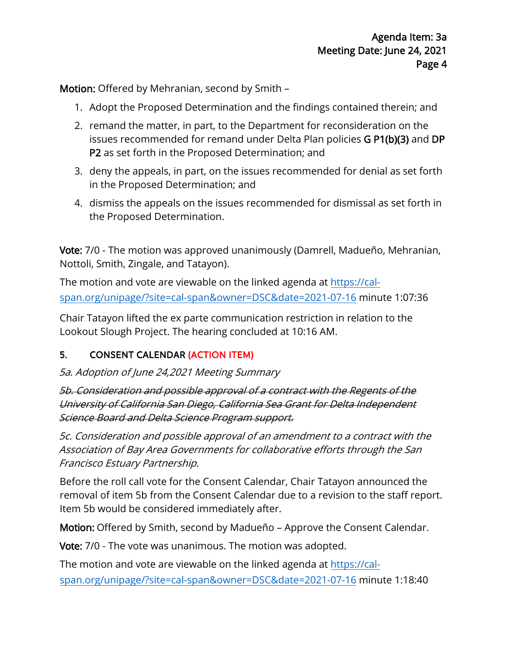Motion: Offered by Mehranian, second by Smith –

- 1. Adopt the Proposed Determination and the findings contained therein; and
- 2. remand the matter, in part, to the Department for reconsideration on the issues recommended for remand under Delta Plan policies G P1(b)(3) and DP P2 as set forth in the Proposed Determination; and
- 3. deny the appeals, in part, on the issues recommended for denial as set forth in the Proposed Determination; and
- 4. dismiss the appeals on the issues recommended for dismissal as set forth in the Proposed Determination.

Vote: 7/0 - The motion was approved unanimously (Damrell, Madueño, Mehranian, Nottoli, Smith, Zingale, and Tatayon).

The motion and vote are viewable on the linked agenda at [https://cal](https://cal-span.org/unipage/?site=cal-span&owner=DSC&date=2021-07-16)[span.org/unipage/?site=cal-span&owner=DSC&date=2021-07-16](https://cal-span.org/unipage/?site=cal-span&owner=DSC&date=2021-07-16) minute 1:07:36

Chair Tatayon lifted the ex parte communication restriction in relation to the Lookout Slough Project. The hearing concluded at 10:16 AM.

#### 5. CONSENT CALENDAR (ACTION ITEM)

#### 5a. Adoption of June 24,2021 Meeting Summary

5b. Consideration and possible approval of a contract with the Regents of the University of California San Diego, California Sea Grant for Delta Independent Science Board and Delta Science Program support.

5c. Consideration and possible approval of an amendment to a contract with the Association of Bay Area Governments for collaborative efforts through the San Francisco Estuary Partnership.

Before the roll call vote for the Consent Calendar, Chair Tatayon announced the removal of item 5b from the Consent Calendar due to a revision to the staff report. Item 5b would be considered immediately after.

Motion: Offered by Smith, second by Madueño – Approve the Consent Calendar.

Vote: 7/0 - The vote was unanimous. The motion was adopted.

The motion and vote are viewable on the linked agenda at [https://cal](https://cal-span.org/unipage/?site=cal-span&owner=DSC&date=2021-07-16)[span.org/unipage/?site=cal-span&owner=DSC&date=2021-07-16](https://cal-span.org/unipage/?site=cal-span&owner=DSC&date=2021-07-16) minute 1:18:40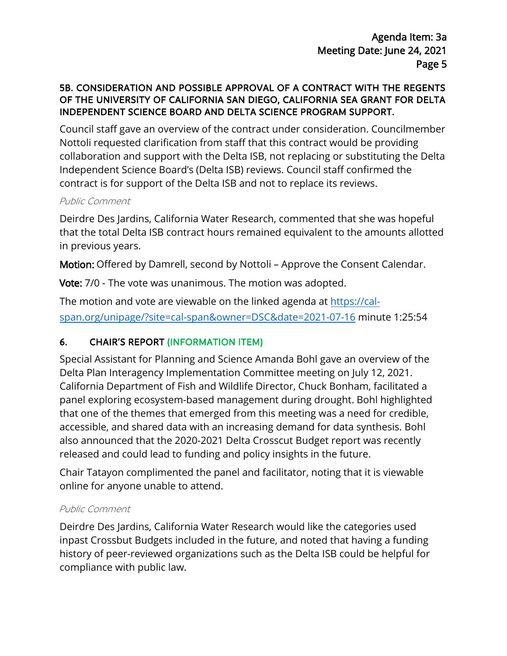#### 5B. CONSIDERATION AND POSSIBLE APPROVAL OF A CONTRACT WITH THE REGENTS OF THE UNIVERSITY OF CALIFORNIA SAN DIEGO, CALIFORNIA SEA GRANT FOR DELTA INDEPENDENT SCIENCE BOARD AND DELTA SCIENCE PROGRAM SUPPORT.

Council staff gave an overview of the contract under consideration. Councilmember Nottoli requested clarification from staff that this contract would be providing collaboration and support with the Delta ISB, not replacing or substituting the Delta Independent Science Board's (Delta ISB) reviews. Council staff confirmed the contract is for support of the Delta ISB and not to replace its reviews.

#### Public Comment

Deirdre Des Jardins, California Water Research, commented that she was hopeful that the total Delta ISB contract hours remained equivalent to the amounts allotted in previous years.

Motion: Offered by Damrell, second by Nottoli – Approve the Consent Calendar.

Vote: 7/0 - The vote was unanimous. The motion was adopted.

The motion and vote are viewable on the linked agenda at [https://cal](https://cal-span.org/unipage/?site=cal-span&owner=DSC&date=2021-07-16)[span.org/unipage/?site=cal-span&owner=DSC&date=2021-07-16](https://cal-span.org/unipage/?site=cal-span&owner=DSC&date=2021-07-16) minute 1:25:54

### 6. CHAIR'S REPORT (INFORMATION ITEM)

Special Assistant for Planning and Science Amanda Bohl gave an overview of the Delta Plan Interagency Implementation Committee meeting on July 12, 2021. California Department of Fish and Wildlife Director, Chuck Bonham, facilitated a panel exploring ecosystem-based management during drought. Bohl highlighted that one of the themes that emerged from this meeting was a need for credible, accessible, and shared data with an increasing demand for data synthesis. Bohl also announced that the 2020-2021 Delta Crosscut Budget report was recently released and could lead to funding and policy insights in the future.

Chair Tatayon complimented the panel and facilitator, noting that it is viewable online for anyone unable to attend.

#### Public Comment

Deirdre Des Jardins, California Water Research would like the categories used inpast Crossbut Budgets included in the future, and noted that having a funding history of peer-reviewed organizations such as the Delta ISB could be helpful for compliance with public law.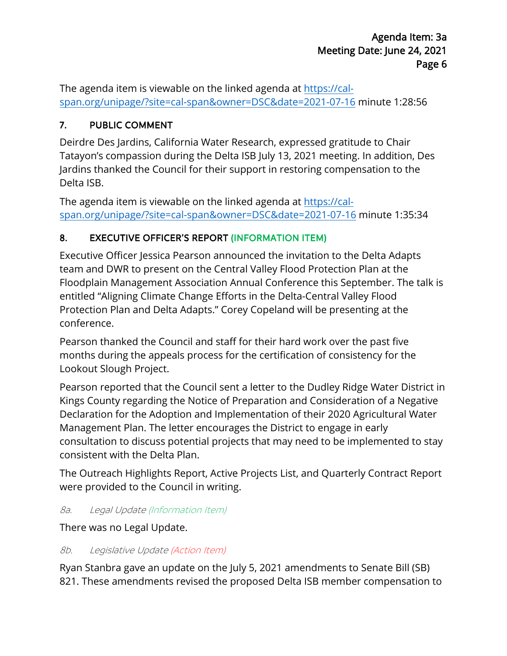The agenda item is viewable on the linked agenda at [https://cal](https://cal-span.org/unipage/?site=cal-span&owner=DSC&date=2021-07-16)[span.org/unipage/?site=cal-span&owner=DSC&date=2021-07-16](https://cal-span.org/unipage/?site=cal-span&owner=DSC&date=2021-07-16) minute 1:28:56

### 7. PUBLIC COMMENT

Deirdre Des Jardins, California Water Research, expressed gratitude to Chair Tatayon's compassion during the Delta ISB July 13, 2021 meeting. In addition, Des Jardins thanked the Council for their support in restoring compensation to the Delta ISB.

The agenda item is viewable on the linked agenda at [https://cal](https://cal-span.org/unipage/?site=cal-span&owner=DSC&date=2021-07-16%20)[span.org/unipage/?site=cal-span&owner=DSC&date=2021-07-16](https://cal-span.org/unipage/?site=cal-span&owner=DSC&date=2021-07-16%20) minute 1:35:34

### 8. EXECUTIVE OFFICER'S REPORT (INFORMATION ITEM)

Executive Officer Jessica Pearson announced the invitation to the Delta Adapts team and DWR to present on the Central Valley Flood Protection Plan at the Floodplain Management Association Annual Conference this September. The talk is entitled "Aligning Climate Change Efforts in the Delta-Central Valley Flood Protection Plan and Delta Adapts." Corey Copeland will be presenting at the conference.

Pearson thanked the Council and staff for their hard work over the past five months during the appeals process for the certification of consistency for the Lookout Slough Project.

Pearson reported that the Council sent a letter to the Dudley Ridge Water District in Kings County regarding the Notice of Preparation and Consideration of a Negative Declaration for the Adoption and Implementation of their 2020 Agricultural Water Management Plan. The letter encourages the District to engage in early consultation to discuss potential projects that may need to be implemented to stay consistent with the Delta Plan.

The Outreach Highlights Report, Active Projects List, and Quarterly Contract Report were provided to the Council in writing.

#### 8a. Legal Update (Information Item)

There was no Legal Update.

#### 8b. Legislative Update (Action Item)

Ryan Stanbra gave an update on the July 5, 2021 amendments to Senate Bill (SB) 821. These amendments revised the proposed Delta ISB member compensation to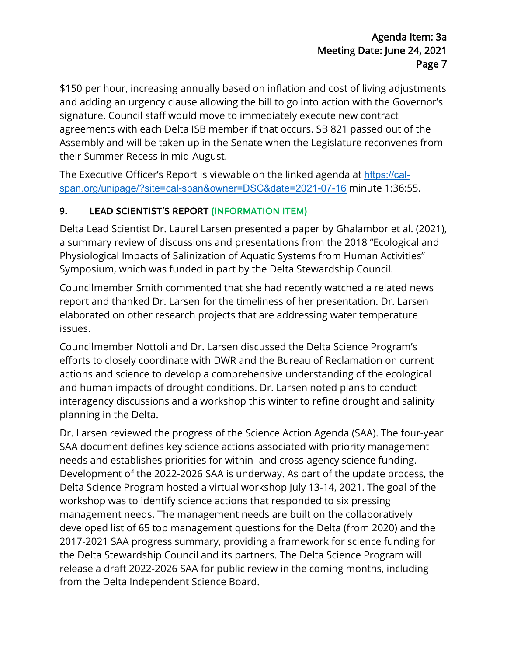\$150 per hour, increasing annually based on inflation and cost of living adjustments and adding an urgency clause allowing the bill to go into action with the Governor's signature. Council staff would move to immediately execute new contract agreements with each Delta ISB member if that occurs. SB 821 passed out of the Assembly and will be taken up in the Senate when the Legislature reconvenes from their Summer Recess in mid-August.

The Executive Officer's Report is viewable on the linked agenda at [https://cal](https://cal-span.org/unipage/?site=cal-span&owner=DSC&date=2021-07-16)[span.org/unipage/?site=cal-span&owner=DSC&date=2021-07-16](https://cal-span.org/unipage/?site=cal-span&owner=DSC&date=2021-07-16) minute 1:36:55.

### 9. LEAD SCIENTIST'S REPORT (INFORMATION ITEM)

Delta Lead Scientist Dr. Laurel Larsen presented a paper by Ghalambor et al. (2021), a summary review of discussions and presentations from the 2018 "Ecological and Physiological Impacts of Salinization of Aquatic Systems from Human Activities" Symposium, which was funded in part by the Delta Stewardship Council.

Councilmember Smith commented that she had recently watched a related news report and thanked Dr. Larsen for the timeliness of her presentation. Dr. Larsen elaborated on other research projects that are addressing water temperature issues.

Councilmember Nottoli and Dr. Larsen discussed the Delta Science Program's efforts to closely coordinate with DWR and the Bureau of Reclamation on current actions and science to develop a comprehensive understanding of the ecological and human impacts of drought conditions. Dr. Larsen noted plans to conduct interagency discussions and a workshop this winter to refine drought and salinity planning in the Delta.

Dr. Larsen reviewed the progress of the Science Action Agenda (SAA). The four-year SAA document defines key science actions associated with priority management needs and establishes priorities for within- and cross-agency science funding. Development of the 2022-2026 SAA is underway. As part of the update process, the Delta Science Program hosted a virtual workshop July 13-14, 2021. The goal of the workshop was to identify science actions that responded to six pressing management needs. The management needs are built on the collaboratively developed list of 65 top management questions for the Delta (from 2020) and the 2017-2021 SAA progress summary, providing a framework for science funding for the Delta Stewardship Council and its partners. The Delta Science Program will release a draft 2022-2026 SAA for public review in the coming months, including from the Delta Independent Science Board.